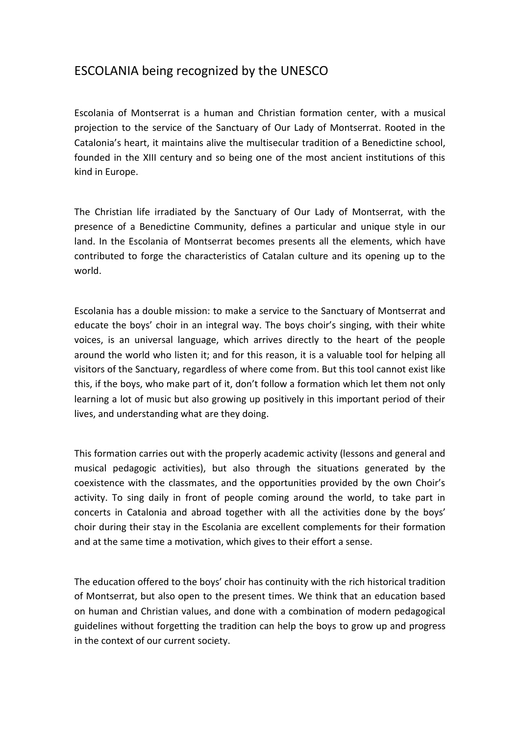## ESCOLANIA being recognized by the UNESCO

Escolania of Montserrat is a human and Christian formation center, with a musical projection to the service of the Sanctuary of Our Lady of Montserrat. Rooted in the Catalonia's heart, it maintains alive the multisecular tradition of a Benedictine school, founded in the XIII century and so being one of the most ancient institutions of this kind in Europe.

The Christian life irradiated by the Sanctuary of Our Lady of Montserrat, with the presence of a Benedictine Community, defines a particular and unique style in our land. In the Escolania of Montserrat becomes presents all the elements, which have contributed to forge the characteristics of Catalan culture and its opening up to the world.

Escolania has a double mission: to make a service to the Sanctuary of Montserrat and educate the boys' choir in an integral way. The boys choir's singing, with their white voices, is an universal language, which arrives directly to the heart of the people around the world who listen it; and for this reason, it is a valuable tool for helping all visitors of the Sanctuary, regardless of where come from. But this tool cannot exist like this, if the boys, who make part of it, don't follow a formation which let them not only learning a lot of music but also growing up positively in this important period of their lives, and understanding what are they doing.

This formation carries out with the properly academic activity (lessons and general and musical pedagogic activities), but also through the situations generated by the coexistence with the classmates, and the opportunities provided by the own Choir's activity. To sing daily in front of people coming around the world, to take part in concerts in Catalonia and abroad together with all the activities done by the boys' choir during their stay in the Escolania are excellent complements for their formation and at the same time a motivation, which gives to their effort a sense.

The education offered to the boys' choir has continuity with the rich historical tradition of Montserrat, but also open to the present times. We think that an education based on human and Christian values, and done with a combination of modern pedagogical guidelines without forgetting the tradition can help the boys to grow up and progress in the context of our current society.